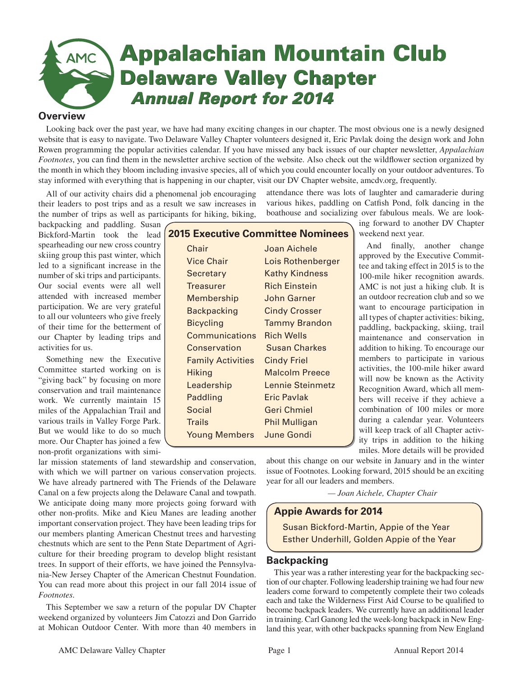# **Appalachian Mountain Club SMC Delaware Valley Chapter** *Annual Report for 2014 Annual Report for 2014*

# **Overview**

Looking back over the past year, we have had many exciting changes in our chapter. The most obvious one is a newly designed website that is easy to navigate. Two Delaware Valley Chapter volunteers designed it, Eric Pavlak doing the design work and John Rowen programming the popular activities calendar. If you have missed any back issues of our chapter newsletter, *Appalachian Footnotes*, you can find them in the newsletter archive section of the website. Also check out the wildflower section organized by the month in which they bloom including invasive species, all of which you could encounter locally on your outdoor adventures. To stay informed with everything that is happening in our chapter, visit our DV Chapter website, amcdv.org, frequently.

All of our activity chairs did a phenomenal job encouraging their leaders to post trips and as a result we saw increases in the number of trips as well as participants for hiking, biking,

backpacking and paddling. Susan Bickford-Martin took the lead spearheading our new cross country skiing group this past winter, which led to a significant increase in the number of ski trips and participants. Our social events were all well attended with increased member participation. We are very grateful to all our volunteers who give freely of their time for the betterment of our Chapter by leading trips and activities for us.

Something new the Executive Committee started working on is "giving back" by focusing on more conservation and trail maintenance work. We currently maintain 15 miles of the Appalachian Trail and various trails in Valley Forge Park. But we would like to do so much more. Our Chapter has joined a few non-profit organizations with simi-

| <b>2015 Executive Committee Nominees</b> |                       |
|------------------------------------------|-----------------------|
| Chair                                    | Joan Aichele          |
| <b>Vice Chair</b>                        | Lois Rothenberger     |
| Secretary                                | <b>Kathy Kindness</b> |
| <b>Treasurer</b>                         | <b>Rich Einstein</b>  |
| Membership                               | <b>John Garner</b>    |
| <b>Backpacking</b>                       | <b>Cindy Crosser</b>  |
| <b>Bicycling</b>                         | <b>Tammy Brandon</b>  |
| Communications                           | <b>Rich Wells</b>     |
| Conservation                             | <b>Susan Charkes</b>  |
| <b>Family Activities</b>                 | <b>Cindy Friel</b>    |
| <b>Hiking</b>                            | <b>Malcolm Preece</b> |
| Leadership                               | Lennie Steinmetz      |
| Paddling                                 | Eric Pavlak           |
| <b>Social</b>                            | Geri Chmiel           |
| <b>Trails</b>                            | <b>Phil Mulligan</b>  |
| <b>Young Members</b>                     | <b>June Gondi</b>     |
|                                          |                       |

attendance there was lots of laughter and camaraderie during various hikes, paddling on Catfish Pond, folk dancing in the boathouse and socializing over fabulous meals. We are look-

> ing forward to another DV Chapter weekend next year.

And finally, another change approved by the Executive Committee and taking effect in 2015 is to the 100-mile hiker recognition awards. AMC is not just a hiking club. It is an outdoor recreation club and so we want to encourage participation in all types of chapter activities: biking, paddling, backpacking, skiing, trail maintenance and conservation in addition to hiking. To encourage our members to participate in various activities, the 100-mile hiker award will now be known as the Activity Recognition Award, which all members will receive if they achieve a combination of 100 miles or more during a calendar year. Volunteers will keep track of all Chapter activity trips in addition to the hiking miles. More details will be provided

lar mission statements of land stewardship and conservation, with which we will partner on various conservation projects. We have already partnered with The Friends of the Delaware Canal on a few projects along the Delaware Canal and towpath. We anticipate doing many more projects going forward with other non-profits. Mike and Kieu Manes are leading another important conservation project. They have been leading trips for our members planting American Chestnut trees and harvesting chestnuts which are sent to the Penn State Department of Agriculture for their breeding program to develop blight resistant trees. In support of their efforts, we have joined the Pennsylvania-New Jersey Chapter of the American Chestnut Foundation. You can read more about this project in our fall 2014 issue of *Footnotes*.

This September we saw a return of the popular DV Chapter weekend organized by volunteers Jim Catozzi and Don Garrido at Mohican Outdoor Center. With more than 40 members in

about this change on our website in January and in the winter issue of Footnotes. Looking forward, 2015 should be an exciting year for all our leaders and members.

*— Joan Aichele, Chapter Chair*

# **Appie Awards for 2014**

Susan Bickford-Martin, Appie of the Year Esther Underhill, Golden Appie of the Year

# **Backpacking**

This year was a rather interesting year for the backpacking section of our chapter. Following leadership training we had four new leaders come forward to competently complete their two coleads each and take the Wilderness First Aid Course to be qualified to become backpack leaders. We currently have an additional leader in training. Carl Ganong led the week-long backpack in New England this year, with other backpacks spanning from New England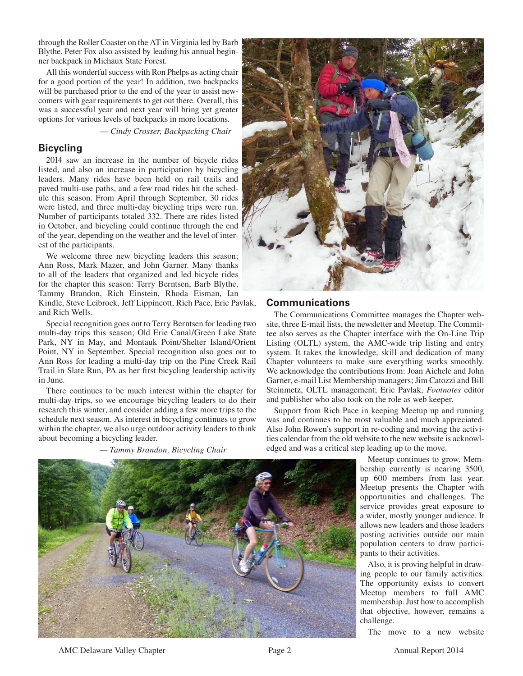through the Roller Coaster on the AT in Virginia led by Barb Blythe. Peter Fox also assisted by leading his annual beginner backpack in Michaux State Forest.

All this wonderful success with Ron Phelps as acting chair for a good portion of the year! In addition, two backpacks will be purchased prior to the end of the year to assist newcomers with gear requirements to get out there. Overall, this was a successful year and next year will bring yet greater options for various levels of backpacks in more locations.

— *Cindy Crosser, Backpacking Chair*

# **Bicycling**

2014 saw an increase in the number of bicycle rides listed, and also an increase in participation by bicycling leaders. Many rides have been held on rail trails and paved multi-use paths, and a few road rides hit the schedule this season. From April through September, 30 rides were listed, and three multi-day bicycling trips were run. Number of participants totaled 332. There are rides listed in October, and bicycling could continue through the end of the year, depending on the weather and the level of interest of the participants.

We welcome three new bicycling leaders this season; Ann Ross, Mark Mazer, and John Garner. Many thanks to all of the leaders that organized and led bicycle rides for the chapter this season: Terry Berntsen, Barb Blythe, Tammy Brandon, Rich Einstein, Rhoda Eisman, Ian Kindle, Steve Leibrock, Jeff Lippincott, Rich Pace, Eric Pavlak, and Rich Wells.

Special recognition goes out to Terry Berntsen for leading two multi-day trips this season; Old Erie Canal/Green Lake State Park, NY in May, and Montauk Point/Shelter Island/Orient Point, NY in September. Special recognition also goes out to Ann Ross for leading a multi-day trip on the Pine Creek Rail Trail in Slate Run, PA as her first bicycling leadership activity in June.

There continues to be much interest within the chapter for multi-day trips, so we encourage bicycling leaders to do their research this winter, and consider adding a few more trips to the schedule next season. As interest in bicycling continues to grow within the chapter, we also urge outdoor activity leaders to think about becoming a bicycling leader.

 *— Tammy Brandon, Bicycling Chair*



# **Communications**

The Communications Committee manages the Chapter website, three E-mail lists, the newsletter and Meetup. The Committee also serves as the Chapter interface with the On-Line Trip Listing (OLTL) system, the AMC-wide trip listing and entry system. It takes the knowledge, skill and dedication of many Chapter volunteers to make sure everything works smoothly. We acknowledge the contributions from: Joan Aichele and John Garner, e-mail List Membership managers; Jim Catozzi and Bill Steinmetz, OLTL management; Eric Pavlak, *Footnotes* editor and publisher who also took on the role as web keeper.

Support from Rich Pace in keeping Meetup up and running was and continues to be most valuable and much appreciated. Also John Rowen's support in re-coding and moving the activities calendar from the old website to the new website is acknowledged and was a critical step leading up to the move.

> Meetup continues to grow. Membership currently is nearing 3500, up 600 members from last year. Meetup presents the Chapter with opportunities and challenges. The service provides great exposure to a wider, mostly younger audience. It allows new leaders and those leaders posting activities outside our main population centers to draw participants to their activities.

> Also, it is proving helpful in drawing people to our family activities. The opportunity exists to convert Meetup members to full AMC membership. Just how to accomplish that objective, however, remains a challenge.

The move to a new website



AMC Delaware Valley Chapter **Page 2** Annual Report 2014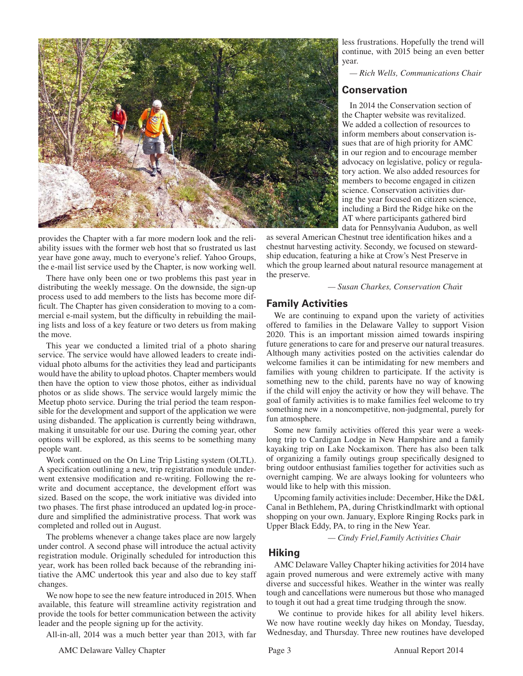

provides the Chapter with a far more modern look and the reliability issues with the former web host that so frustrated us last year have gone away, much to everyone's relief. Yahoo Groups, the e-mail list service used by the Chapter, is now working well.

There have only been one or two problems this past year in distributing the weekly message. On the downside, the sign-up process used to add members to the lists has become more difficult. The Chapter has given consideration to moving to a commercial e-mail system, but the difficulty in rebuilding the mailing lists and loss of a key feature or two deters us from making the move.

This year we conducted a limited trial of a photo sharing service. The service would have allowed leaders to create individual photo albums for the activities they lead and participants would have the ability to upload photos. Chapter members would then have the option to view those photos, either as individual photos or as slide shows. The service would largely mimic the Meetup photo service. During the trial period the team responsible for the development and support of the application we were using disbanded. The application is currently being withdrawn, making it unsuitable for our use. During the coming year, other options will be explored, as this seems to be something many people want.

Work continued on the On Line Trip Listing system (OLTL). A specification outlining a new, trip registration module underwent extensive modification and re-writing. Following the rewrite and document acceptance, the development effort was sized. Based on the scope, the work initiative was divided into two phases. The first phase introduced an updated log-in procedure and simplified the administrative process. That work was completed and rolled out in August.

The problems whenever a change takes place are now largely under control. A second phase will introduce the actual activity registration module. Originally scheduled for introduction this year, work has been rolled back because of the rebranding initiative the AMC undertook this year and also due to key staff changes.

We now hope to see the new feature introduced in 2015. When available, this feature will streamline activity registration and provide the tools for better communication between the activity leader and the people signing up for the activity.

All-in-all, 2014 was a much better year than 2013, with far

less frustrations. Hopefully the trend will continue, with 2015 being an even better year.

*— Rich Wells, Communications Chair*

# **Conservation**

In 2014 the Conservation section of the Chapter website was revitalized. We added a collection of resources to inform members about conservation issues that are of high priority for AMC in our region and to encourage member advocacy on legislative, policy or regulatory action. We also added resources for members to become engaged in citizen science. Conservation activities during the year focused on citizen science, including a Bird the Ridge hike on the AT where participants gathered bird data for Pennsylvania Audubon, as well

as several American Chestnut tree identification hikes and a chestnut harvesting activity. Secondy, we focused on stewardship education, featuring a hike at Crow's Nest Preserve in which the group learned about natural resource management at the preserve.

 *— Susan Charkes, Conservation Cha*ir

# **Family Activities**

We are continuing to expand upon the variety of activities offered to families in the Delaware Valley to support Vision 2020. This is an important mission aimed towards inspiring future generations to care for and preserve our natural treasures. Although many activities posted on the activities calendar do welcome families it can be intimidating for new members and families with young children to participate. If the activity is something new to the child, parents have no way of knowing if the child will enjoy the activity or how they will behave. The goal of family activities is to make families feel welcome to try something new in a noncompetitive, non-judgmental, purely for fun atmosphere.

Some new family activities offered this year were a weeklong trip to Cardigan Lodge in New Hampshire and a family kayaking trip on Lake Nockamixon. There has also been talk of organizing a family outings group specifically designed to bring outdoor enthusiast families together for activities such as overnight camping. We are always looking for volunteers who would like to help with this mission.

Upcoming family activities include: December, Hike the D&L Canal in Bethlehem, PA, during Christkindlmarkt with optional shopping on your own. January, Explore Ringing Rocks park in Upper Black Eddy, PA, to ring in the New Year.

 *— Cindy Friel,Family Activities Chair*

# **Hiking**

AMC Delaware Valley Chapter hiking activities for 2014 have again proved numerous and were extremely active with many diverse and successful hikes. Weather in the winter was really tough and cancellations were numerous but those who managed to tough it out had a great time trudging through the snow.

 We continue to provide hikes for all ability level hikers. We now have routine weekly day hikes on Monday, Tuesday, Wednesday, and Thursday. Three new routines have developed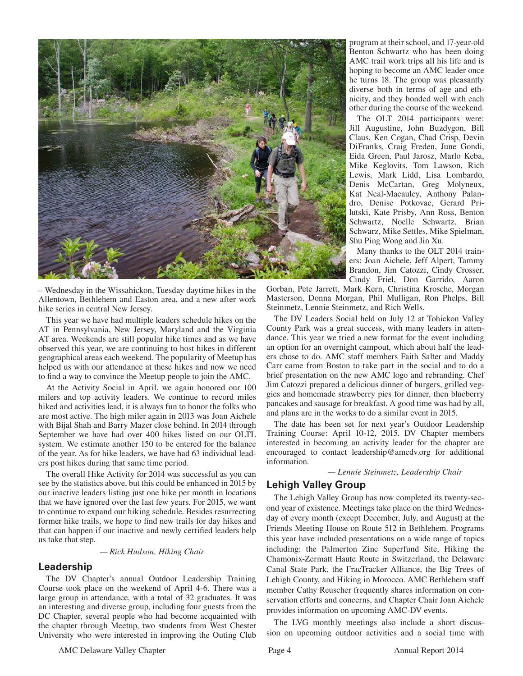

– Wednesday in the Wissahickon, Tuesday daytime hikes in the Allentown, Bethlehem and Easton area, and a new after work hike series in central New Jersey.

This year we have had multiple leaders schedule hikes on the AT in Pennsylvania, New Jersey, Maryland and the Virginia AT area. Weekends are still popular hike times and as we have observed this year, we are continuing to host hikes in different geographical areas each weekend. The popularity of Meetup has helped us with our attendance at these hikes and now we need to find a way to convince the Meetup people to join the AMC.

At the Activity Social in April, we again honored our 100 milers and top activity leaders. We continue to record miles hiked and activities lead, it is always fun to honor the folks who are most active. The high miler again in 2013 was Joan Aichele with Bijal Shah and Barry Mazer close behind. In 2014 through September we have had over 400 hikes listed on our OLTL system. We estimate another 150 to be entered for the balance of the year. As for hike leaders, we have had 63 individual leaders post hikes during that same time period.

The overall Hike Activity for 2014 was successful as you can see by the statistics above, but this could be enhanced in 2015 by our inactive leaders listing just one hike per month in locations that we have ignored over the last few years. For 2015, we want to continue to expand our hiking schedule. Besides resurrecting former hike trails, we hope to find new trails for day hikes and that can happen if our inactive and newly certified leaders help us take that step.

*— Rick Hudson, Hiking Chair*

# **Leadership**

The DV Chapter's annual Outdoor Leadership Training Course took place on the weekend of April 4-6. There was a large group in attendance, with a total of 32 graduates. It was an interesting and diverse group, including four guests from the DC Chapter, several people who had become acquainted with the chapter through Meetup, two students from West Chester University who were interested in improving the Outing Club

program at their school, and 17-year-old Benton Schwartz who has been doing AMC trail work trips all his life and is hoping to become an AMC leader once he turns 18. The group was pleasantly diverse both in terms of age and ethnicity, and they bonded well with each other during the course of the weekend.

The OLT 2014 participants were: Jill Augustine, John Buzdygon, Bill Claus, Ken Cogan, Chad Crisp, Devin DiFranks, Craig Freden, June Gondi, Eida Green, Paul Jarosz, Marlo Keba, Mike Keglovits, Tom Lawson, Rich Lewis, Mark Lidd, Lisa Lombardo, Denis McCartan, Greg Molyneux, Kat Neal-Macauley, Anthony Palandro, Denise Potkovac, Gerard Prilutski, Kate Prisby, Ann Ross, Benton Schwartz, Noelle Schwartz, Brian Schwarz, Mike Settles, Mike Spielman, Shu Ping Wong and Jin Xu.

Many thanks to the OLT 2014 trainers: Joan Aichele, Jeff Alpert, Tammy Brandon, Jim Catozzi, Cindy Crosser, Cindy Friel, Don Garrido, Aaron

Gorban, Pete Jarrett, Mark Kern, Christina Krosche, Morgan Masterson, Donna Morgan, Phil Mulligan, Ron Phelps, Bill Steinmetz, Lennie Steinmetz, and Rich Wells.

The DV Leaders Social held on July 12 at Tohickon Valley County Park was a great success, with many leaders in attendance. This year we tried a new format for the event including an option for an overnight campout, which about half the leaders chose to do. AMC staff members Faith Salter and Maddy Carr came from Boston to take part in the social and to do a brief presentation on the new AMC logo and rebranding. Chef Jim Catozzi prepared a delicious dinner of burgers, grilled veggies and homemade strawberry pies for dinner, then blueberry pancakes and sausage for breakfast. A good time was had by all, and plans are in the works to do a similar event in 2015.

The date has been set for next year's Outdoor Leadership Training Course: April 10-12, 2015. DV Chapter members interested in becoming an activity leader for the chapter are encouraged to contact leadership@amcdv.org for additional information.

 *— Lennie Steinmetz, Leadership Chair*

# **Lehigh Valley Group**

The Lehigh Valley Group has now completed its twenty-second year of existence. Meetings take place on the third Wednesday of every month (except December, July, and August) at the Friends Meeting House on Route 512 in Bethlehem. Programs this year have included presentations on a wide range of topics including: the Palmerton Zinc Superfund Site, Hiking the Chamonix-Zermatt Haute Route in Switzerland, the Delaware Canal State Park, the FracTracker Alliance, the Big Trees of Lehigh County, and Hiking in Morocco. AMC Bethlehem staff member Cathy Reuscher frequently shares information on conservation efforts and concerns, and Chapter Chair Joan Aichele provides information on upcoming AMC-DV events.

The LVG monthly meetings also include a short discussion on upcoming outdoor activities and a social time with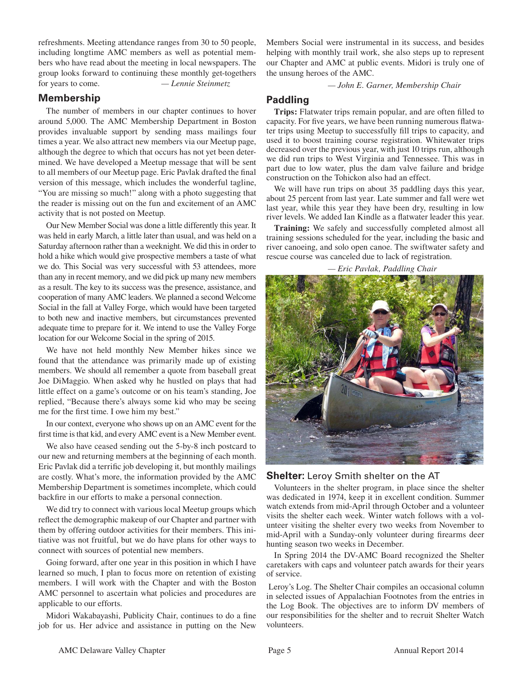refreshments. Meeting attendance ranges from 30 to 50 people, including longtime AMC members as well as potential members who have read about the meeting in local newspapers. The group looks forward to continuing these monthly get-togethers for years to come. *— Lennie Steinmetz*

### **Membership**

The number of members in our chapter continues to hover around 5,000. The AMC Membership Department in Boston provides invaluable support by sending mass mailings four times a year. We also attract new members via our Meetup page, although the degree to which that occurs has not yet been determined. We have developed a Meetup message that will be sent to all members of our Meetup page. Eric Pavlak drafted the final version of this message, which includes the wonderful tagline, "You are missing so much!" along with a photo suggesting that the reader is missing out on the fun and excitement of an AMC activity that is not posted on Meetup.

Our New Member Social was done a little differently this year. It was held in early March, a little later than usual, and was held on a Saturday afternoon rather than a weeknight. We did this in order to hold a hike which would give prospective members a taste of what we do. This Social was very successful with 53 attendees, more than any in recent memory, and we did pick up many new members as a result. The key to its success was the presence, assistance, and cooperation of many AMC leaders. We planned a second Welcome Social in the fall at Valley Forge, which would have been targeted to both new and inactive members, but circumstances prevented adequate time to prepare for it. We intend to use the Valley Forge location for our Welcome Social in the spring of 2015.

We have not held monthly New Member hikes since we found that the attendance was primarily made up of existing members. We should all remember a quote from baseball great Joe DiMaggio. When asked why he hustled on plays that had little effect on a game's outcome or on his team's standing, Joe replied, "Because there's always some kid who may be seeing me for the first time. I owe him my best."

In our context, everyone who shows up on an AMC event for the first time is that kid, and every AMC event is a New Member event.

We also have ceased sending out the 5-by-8 inch postcard to our new and returning members at the beginning of each month. Eric Pavlak did a terrific job developing it, but monthly mailings are costly. What's more, the information provided by the AMC Membership Department is sometimes incomplete, which could backfire in our efforts to make a personal connection.

We did try to connect with various local Meetup groups which reflect the demographic makeup of our Chapter and partner with them by offering outdoor activities for their members. This initiative was not fruitful, but we do have plans for other ways to connect with sources of potential new members.

Going forward, after one year in this position in which I have learned so much, I plan to focus more on retention of existing members. I will work with the Chapter and with the Boston AMC personnel to ascertain what policies and procedures are applicable to our efforts.

Midori Wakabayashi, Publicity Chair, continues to do a fine job for us. Her advice and assistance in putting on the New Members Social were instrumental in its success, and besides helping with monthly trail work, she also steps up to represent our Chapter and AMC at public events. Midori is truly one of the unsung heroes of the AMC.

 *— John E. Garner, Membership Chair*

# **Paddling**

Trips: Flatwater trips remain popular, and are often filled to capacity. For five years, we have been running numerous flatwater trips using Meetup to successfully fill trips to capacity, and used it to boost training course registration. Whitewater trips decreased over the previous year, with just 10 trips run, although we did run trips to West Virginia and Tennessee. This was in part due to low water, plus the dam valve failure and bridge construction on the Tohickon also had an effect.

We will have run trips on about 35 paddling days this year, about 25 percent from last year. Late summer and fall were wet last year, while this year they have been dry, resulting in low river levels. We added Ian Kindle as a flatwater leader this year.

**Training:** We safely and successfully completed almost all training sessions scheduled for the year, including the basic and river canoeing, and solo open canoe. The swiftwater safety and rescue course was canceled due to lack of registration.

 *— Eric Pavlak, Paddling Chair*



### **Shelter:** Leroy Smith shelter on the AT

Volunteers in the shelter program, in place since the shelter was dedicated in 1974, keep it in excellent condition. Summer watch extends from mid-April through October and a volunteer visits the shelter each week. Winter watch follows with a volunteer visiting the shelter every two weeks from November to mid-April with a Sunday-only volunteer during firearms deer hunting season two weeks in December.

In Spring 2014 the DV-AMC Board recognized the Shelter caretakers with caps and volunteer patch awards for their years of service.

 Leroy's Log. The Shelter Chair compiles an occasional column in selected issues of Appalachian Footnotes from the entries in the Log Book. The objectives are to inform DV members of our responsibilities for the shelter and to recruit Shelter Watch volunteers.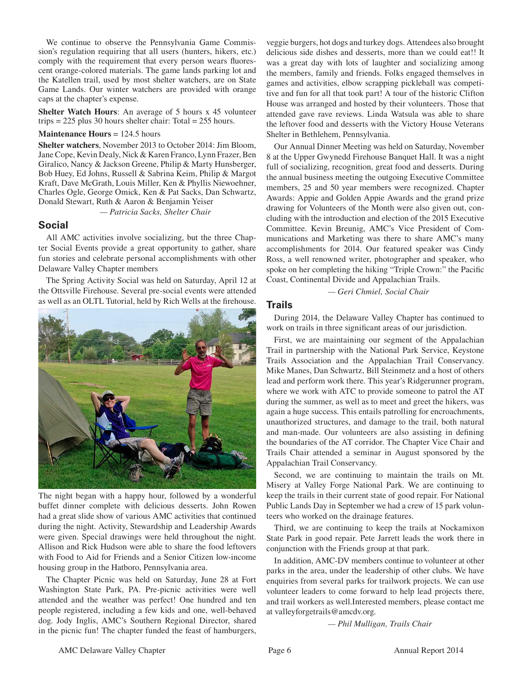We continue to observe the Pennsylvania Game Commission's regulation requiring that all users (hunters, hikers, etc.) comply with the requirement that every person wears fluorescent orange-colored materials. The game lands parking lot and the Katellen trail, used by most shelter watchers, are on State Game Lands. Our winter watchers are provided with orange caps at the chapter's expense.

**Shelter Watch Hours**: An average of 5 hours x 45 volunteer trips = 225 plus 30 hours shelter chair: Total = 255 hours.

#### **Maintenance Hours** = 124.5 hours

**Shelter watchers**, November 2013 to October 2014: Jim Bloom, Jane Cope, Kevin Dealy, Nick & Karen Franco, Lynn Frazer, Ben Giralico, Nancy & Jackson Greene, Philip & Marty Hunsberger, Bob Huey, Ed Johns, Russell & Sabrina Keim, Philip & Margot Kraft, Dave McGrath, Louis Miller, Ken & Phyllis Niewoehner, Charles Ogle, George Omick, Ken & Pat Sacks, Dan Schwartz, Donald Stewart, Ruth & Aaron & Benjamin Yeiser

*— Patricia Sacks, Shelter Chair*

# **Social**

All AMC activities involve socializing, but the three Chapter Social Events provide a great opportunity to gather, share fun stories and celebrate personal accomplishments with other Delaware Valley Chapter members

The Spring Activity Social was held on Saturday, April 12 at the Ottsville Firehouse. Several pre-social events were attended as well as an OLTL Tutorial, held by Rich Wells at the firehouse.



The night began with a happy hour, followed by a wonderful buffet dinner complete with delicious desserts. John Rowen had a great slide show of various AMC activities that continued during the night. Activity, Stewardship and Leadership Awards were given. Special drawings were held throughout the night. Allison and Rick Hudson were able to share the food leftovers with Food to Aid for Friends and a Senior Citizen low-income housing group in the Hatboro, Pennsylvania area.

The Chapter Picnic was held on Saturday, June 28 at Fort Washington State Park, PA. Pre-picnic activities were well attended and the weather was perfect! One hundred and ten people registered, including a few kids and one, well-behaved dog. Jody Inglis, AMC's Southern Regional Director, shared in the picnic fun! The chapter funded the feast of hamburgers,

veggie burgers, hot dogs and turkey dogs. Attendees also brought delicious side dishes and desserts, more than we could eat!! It was a great day with lots of laughter and socializing among the members, family and friends. Folks engaged themselves in games and activities, elbow scrapping pickleball was competitive and fun for all that took part! A tour of the historic Clifton House was arranged and hosted by their volunteers. Those that attended gave rave reviews. Linda Watsula was able to share the leftover food and desserts with the Victory House Veterans Shelter in Bethlehem, Pennsylvania.

Our Annual Dinner Meeting was held on Saturday, November 8 at the Upper Gwynedd Firehouse Banquet Hall. It was a night full of socializing, recognition, great food and desserts. During the annual business meeting the outgoing Executive Committee members, 25 and 50 year members were recognized. Chapter Awards: Appie and Golden Appie Awards and the grand prize drawing for Volunteers of the Month were also given out, concluding with the introduction and election of the 2015 Executive Committee. Kevin Breunig, AMC's Vice President of Communications and Marketing was there to share AMC's many accomplishments for 2014. Our featured speaker was Cindy Ross, a well renowned writer, photographer and speaker, who spoke on her completing the hiking "Triple Crown:" the Pacific Coast, Continental Divide and Appalachian Trails.

 *— Geri Chmiel, Social Chair*

#### **Trails**

During 2014, the Delaware Valley Chapter has continued to work on trails in three significant areas of our jurisdiction.

First, we are maintaining our segment of the Appalachian Trail in partnership with the National Park Service, Keystone Trails Association and the Appalachian Trail Conservancy. Mike Manes, Dan Schwartz, Bill Steinmetz and a host of others lead and perform work there. This year's Ridgerunner program, where we work with ATC to provide someone to patrol the AT during the summer, as well as to meet and greet the hikers, was again a huge success. This entails patrolling for encroachments, unauthorized structures, and damage to the trail, both natural and man-made. Our volunteers are also assisting in defining the boundaries of the AT corridor. The Chapter Vice Chair and Trails Chair attended a seminar in August sponsored by the Appalachian Trail Conservancy.

Second, we are continuing to maintain the trails on Mt. Misery at Valley Forge National Park. We are continuing to keep the trails in their current state of good repair. For National Public Lands Day in September we had a crew of 15 park volunteers who worked on the drainage features.

Third, we are continuing to keep the trails at Nockamixon State Park in good repair. Pete Jarrett leads the work there in conjunction with the Friends group at that park.

In addition, AMC-DV members continue to volunteer at other parks in the area, under the leadership of other clubs. We have enquiries from several parks for trailwork projects. We can use volunteer leaders to come forward to help lead projects there, and trail workers as well.Interested members, please contact me at valleyforgetrails@amcdv.org.

*— Phil Mulligan, Trails Chair*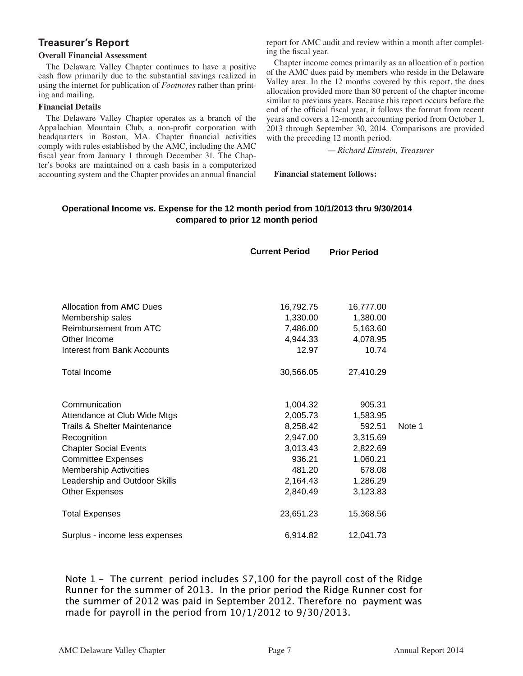# **Treasurer's Report**

### **Overall Financial Assessment**

The Delaware Valley Chapter continues to have a positive cash flow primarily due to the substantial savings realized in using the internet for publication of *Footnotes* rather than printing and mailing.

### **Financial Details**

The Delaware Valley Chapter operates as a branch of the Appalachian Mountain Club, a non-profit corporation with headquarters in Boston, MA. Chapter financial activities comply with rules established by the AMC, including the AMC fiscal year from January 1 through December 31. The Chapter's books are maintained on a cash basis in a computerized accounting system and the Chapter provides an annual financial report for AMC audit and review within a month after completing the fiscal year.

Chapter income comes primarily as an allocation of a portion of the AMC dues paid by members who reside in the Delaware Valley area. In the 12 months covered by this report, the dues allocation provided more than 80 percent of the chapter income similar to previous years. Because this report occurs before the end of the official fiscal year, it follows the format from recent years and covers a 12-month accounting period from October 1, 2013 through September 30, 2014. Comparisons are provided with the preceding 12 month period.

*— Richard Einstein, Treasurer*

**Financial statement follows:**

### **Operational Income vs. Expense for the 12 month period from 10/1/2013 thru 9/30/2014 compared to prior 12 month period**

|                                    | <b>Current Period</b> | <b>Prior Period</b> |        |
|------------------------------------|-----------------------|---------------------|--------|
|                                    |                       |                     |        |
| Allocation from AMC Dues           | 16,792.75             | 16,777.00           |        |
| Membership sales                   | 1,330.00              | 1,380.00            |        |
| Reimbursement from ATC             | 7,486.00              | 5,163.60            |        |
| Other Income                       | 4,944.33              | 4,078.95            |        |
| <b>Interest from Bank Accounts</b> | 12.97                 | 10.74               |        |
| <b>Total Income</b>                | 30,566.05             | 27,410.29           |        |
| Communication                      | 1,004.32              | 905.31              |        |
| Attendance at Club Wide Mtgs       | 2,005.73              | 1,583.95            |        |
| Trails & Shelter Maintenance       | 8,258.42              | 592.51              | Note 1 |
| Recognition                        | 2,947.00              | 3,315.69            |        |
| <b>Chapter Social Events</b>       | 3,013.43              | 2,822.69            |        |
| <b>Committee Expenses</b>          | 936.21                | 1,060.21            |        |
| <b>Membership Activcities</b>      | 481.20                | 678.08              |        |
| Leadership and Outdoor Skills      | 2,164.43              | 1,286.29            |        |
| <b>Other Expenses</b>              | 2,840.49              | 3,123.83            |        |
| <b>Total Expenses</b>              | 23,651.23             | 15,368.56           |        |
| Surplus - income less expenses     | 6,914.82              | 12,041.73           |        |

Note 1 - The current period includes \$7,100 for the payroll cost of the Ridge Runner for the summer of 2013. In the prior period the Ridge Runner cost for the summer of 2012 was paid in September 2012. Therefore no payment was made for payroll in the period from 10/1/2012 to 9/30/2013.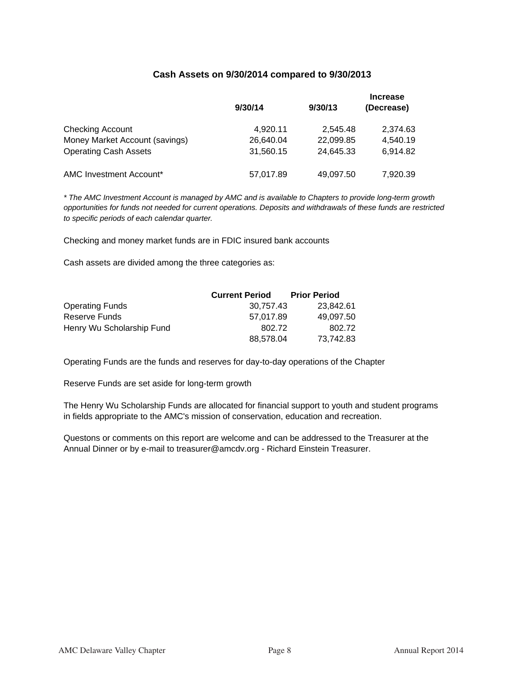### **Cash Assets on 9/30/2014 compared to 9/30/2013**

|                                | 9/30/14   | 9/30/13   | <b>Increase</b><br>(Decrease) |
|--------------------------------|-----------|-----------|-------------------------------|
| <b>Checking Account</b>        | 4.920.11  | 2.545.48  | 2,374.63                      |
| Money Market Account (savings) | 26,640.04 | 22,099.85 | 4.540.19                      |
| <b>Operating Cash Assets</b>   | 31,560.15 | 24,645.33 | 6,914.82                      |
| AMC Investment Account*        | 57,017.89 | 49,097.50 | 7,920.39                      |

*\* The AMC Investment Account is managed b\ AMC and is available to Chapters to provide longterm growth opportunities for funds not needed for current operations. Deposits and withdrawals ofWhese funds are restricted to specific periods of each calendar quarter.* 

Checking and money market funds are in FDIC insured bank accounts

Cash assets are divided among the three categories as:

|                           | <b>Current Period</b> | <b>Prior Period</b> |
|---------------------------|-----------------------|---------------------|
| <b>Operating Funds</b>    | 30.757.43             | 23.842.61           |
| Reserve Funds             | 57.017.89             | 49.097.50           |
| Henry Wu Scholarship Fund | 802.72                | 802.72              |
|                           | 88,578.04             | 73,742.83           |

Operating Funds are the funds and reserves for da\-to-day operations of the Chapter

Reserve Funds are set aside for long-term growth

The Henry Wu Scholarship Funds are allocated for financial support to youth and student programs in fields appropriate to the AMC's mission of conservation, education and recreation.

Questons or comments on this report are welcome and can be addressed to the Treasurer at the Annual Dinner or by e-mail to treasurer@amcdv.org - Richard Einstein Treasurer.